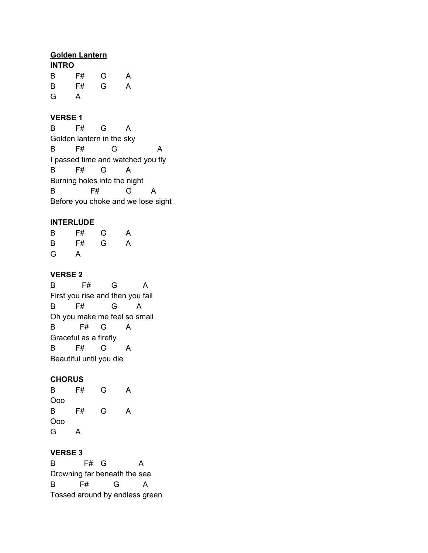### **Golden Lantern**

| <b>INTRO</b> |    |   |   |  |  |
|--------------|----|---|---|--|--|
| B            | F# | G | A |  |  |
| B            | F# | G | A |  |  |
| G            | А  |   |   |  |  |

## **VERSE 1**

B F# G A Golden lantern in the sky B F# G A I passed time and watched you fly B F# G A Burning holes into the night B F# G A Before you choke and we lose sight

### **INTERLUDE**

| B | F# | G | A |
|---|----|---|---|
| B | F# | G | A |
| G | A  |   |   |

### **VERSE 2**

B F# G A First you rise and then you fall B F# G A Oh you make me feel so small B F# G A Graceful as a firefly B F# G A Beautiful until you die

### **CHORUS**

B F# G A Ooo B F# G A Ooo G A

### **VERSE 3**

B F# G A Drowning far beneath the sea B F# G A Tossed around by endless green